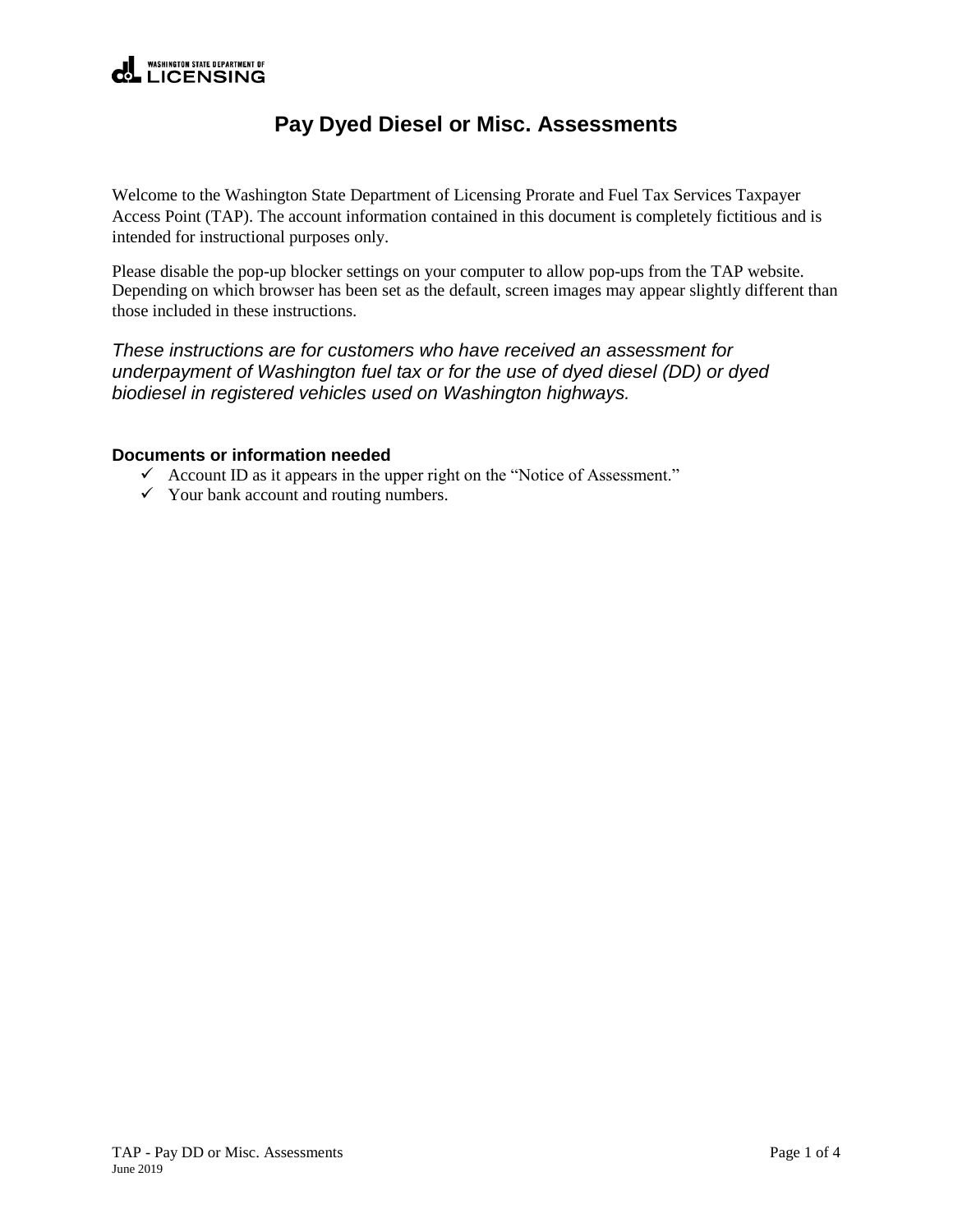

## **Pay Dyed Diesel or Misc. Assessments**

Welcome to the Washington State Department of Licensing Prorate and Fuel Tax Services Taxpayer Access Point (TAP). The account information contained in this document is completely fictitious and is intended for instructional purposes only.

Please disable the pop-up blocker settings on your computer to allow pop-ups from the TAP website. Depending on which browser has been set as the default, screen images may appear slightly different than those included in these instructions.

*These instructions are for customers who have received an assessment for underpayment of Washington fuel tax or for the use of dyed diesel (DD) or dyed biodiesel in registered vehicles used on Washington highways.*

## **Documents or information needed**

- $\checkmark$  Account ID as it appears in the upper right on the "Notice of Assessment."
- $\checkmark$  Your bank account and routing numbers.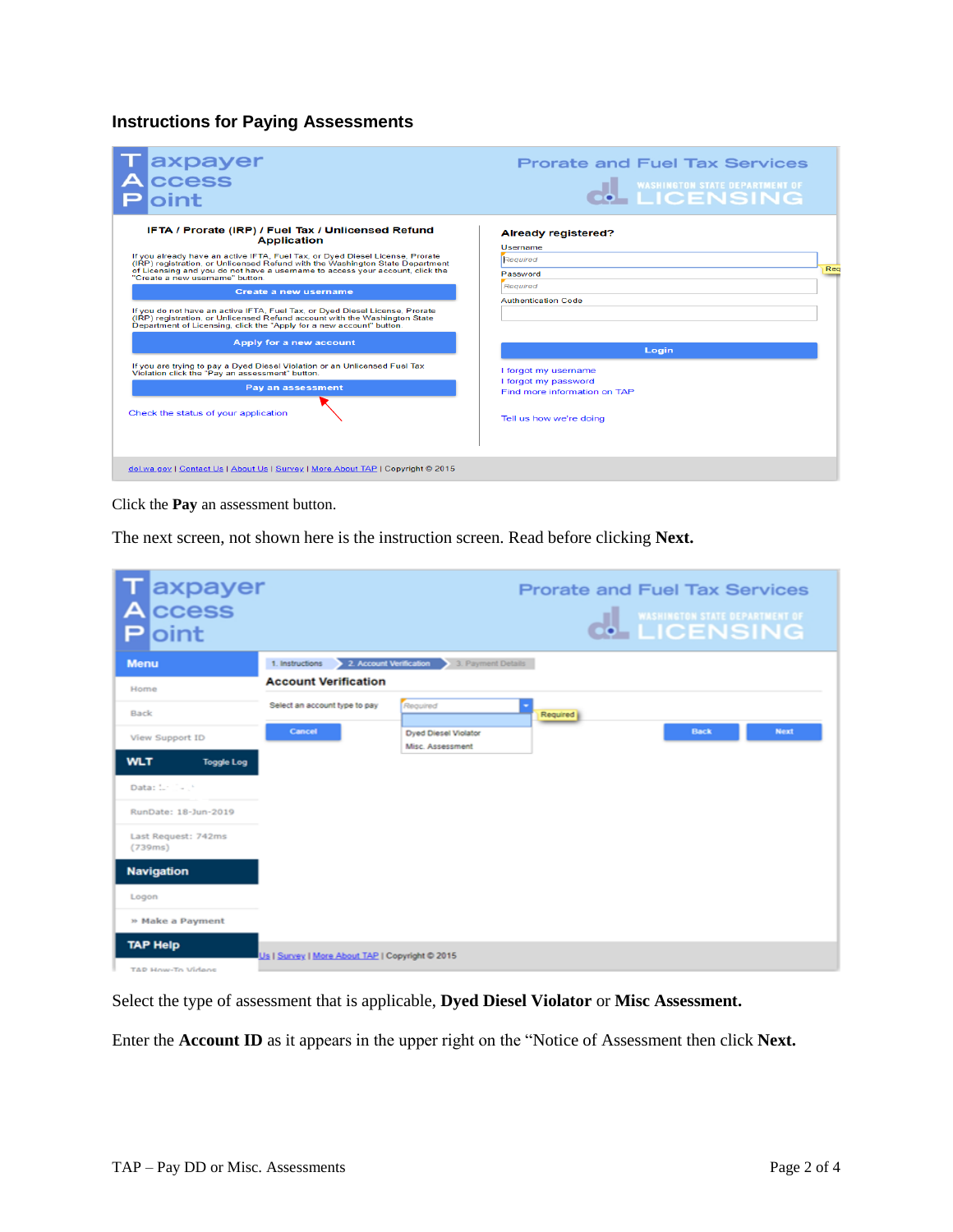## **Instructions for Paying Assessments**

| <b>axpayer</b><br>ccess<br>oint                                                                                                                                                                                                                                                                                                                                                                                                                                                                                                                                                                                                                                                                                                                                                                                                                         | <b>Prorate and Fuel Tax Services</b><br><b>WASHINGTON STATE DEPARTMENT OF</b><br><b>LICENSING</b>                                                                                                                                          |
|---------------------------------------------------------------------------------------------------------------------------------------------------------------------------------------------------------------------------------------------------------------------------------------------------------------------------------------------------------------------------------------------------------------------------------------------------------------------------------------------------------------------------------------------------------------------------------------------------------------------------------------------------------------------------------------------------------------------------------------------------------------------------------------------------------------------------------------------------------|--------------------------------------------------------------------------------------------------------------------------------------------------------------------------------------------------------------------------------------------|
| IFTA / Prorate (IRP) / Fuel Tax / Unlicensed Refund<br><b>Application</b><br>If you already have an active IFTA, Fuel Tax, or Dyed Diesel License, Prorate<br>(IRP) registration, or Unlicensed Refund with the Washington State Department<br>of Licensing and you do not have a username to access your account, click the<br>"Create a new username" button.<br>Create a new username<br>If you do not have an active IFTA. Fuel Tax, or Dyed Diesel License, Prorate<br>(IRP) registration, or Unlicensed Refund account with the Washington State<br>Department of Licensing, click the "Apply for a new account" button.<br>Apply for a new account<br>If you are trying to pay a Dyed Diesel Violation or an Unlicensed Fuel Tax<br>Violation click the "Pay an assessment" button.<br>Pay an assessment<br>Check the status of your application | <b>Already registered?</b><br><b>Username</b><br>Required<br>Rea<br>Password<br>Required<br><b>Authentication Code</b><br>Login<br>I forgot my username<br>I forgot my password<br>Find more information on TAP<br>Tell us how we're doing |
| dol.wa.gov   Contact Us   About Us   Survey   More About TAP   Copyright © 2015                                                                                                                                                                                                                                                                                                                                                                                                                                                                                                                                                                                                                                                                                                                                                                         |                                                                                                                                                                                                                                            |

Click the **Pay** an assessment button.

The next screen, not shown here is the instruction screen. Read before clicking **Next.**

| <b>T</b> axpayer<br><b>A</b> ccess<br>Ploint |                                                 |                                            |          | <b>Prorate and Fuel Tax Services</b><br><b>WASHINGTON STATE DEPARTMENT OF</b> |             |
|----------------------------------------------|-------------------------------------------------|--------------------------------------------|----------|-------------------------------------------------------------------------------|-------------|
| <b>Menu</b>                                  | 1. Instructions                                 | 2. Account Verification 3. Payment Details |          |                                                                               |             |
| Home                                         | <b>Account Verification</b>                     |                                            |          |                                                                               |             |
| Back                                         | Select an account type to pay                   | Required                                   | Required |                                                                               |             |
| View Support ID                              | Cancel                                          | Dyed Diesel Violator<br>Misc. Assessment   |          | <b>Back</b>                                                                   | <b>Next</b> |
| <b>WLT</b><br><b>Toggle Log</b>              |                                                 |                                            |          |                                                                               |             |
| Data: Linie P                                |                                                 |                                            |          |                                                                               |             |
| RunDate: 18-Jun-2019                         |                                                 |                                            |          |                                                                               |             |
| Last Request: 742ms<br>(739ms)               |                                                 |                                            |          |                                                                               |             |
| <b>Navigation</b>                            |                                                 |                                            |          |                                                                               |             |
| Logon                                        |                                                 |                                            |          |                                                                               |             |
| » Make a Payment                             |                                                 |                                            |          |                                                                               |             |
| <b>TAP Help</b><br>TAD House To Hidage       | Us I Survey   More About TAP   Copyright @ 2015 |                                            |          |                                                                               |             |

Select the type of assessment that is applicable, **Dyed Diesel Violator** or **Misc Assessment.**

Enter the **Account ID** as it appears in the upper right on the "Notice of Assessment then click **Next.**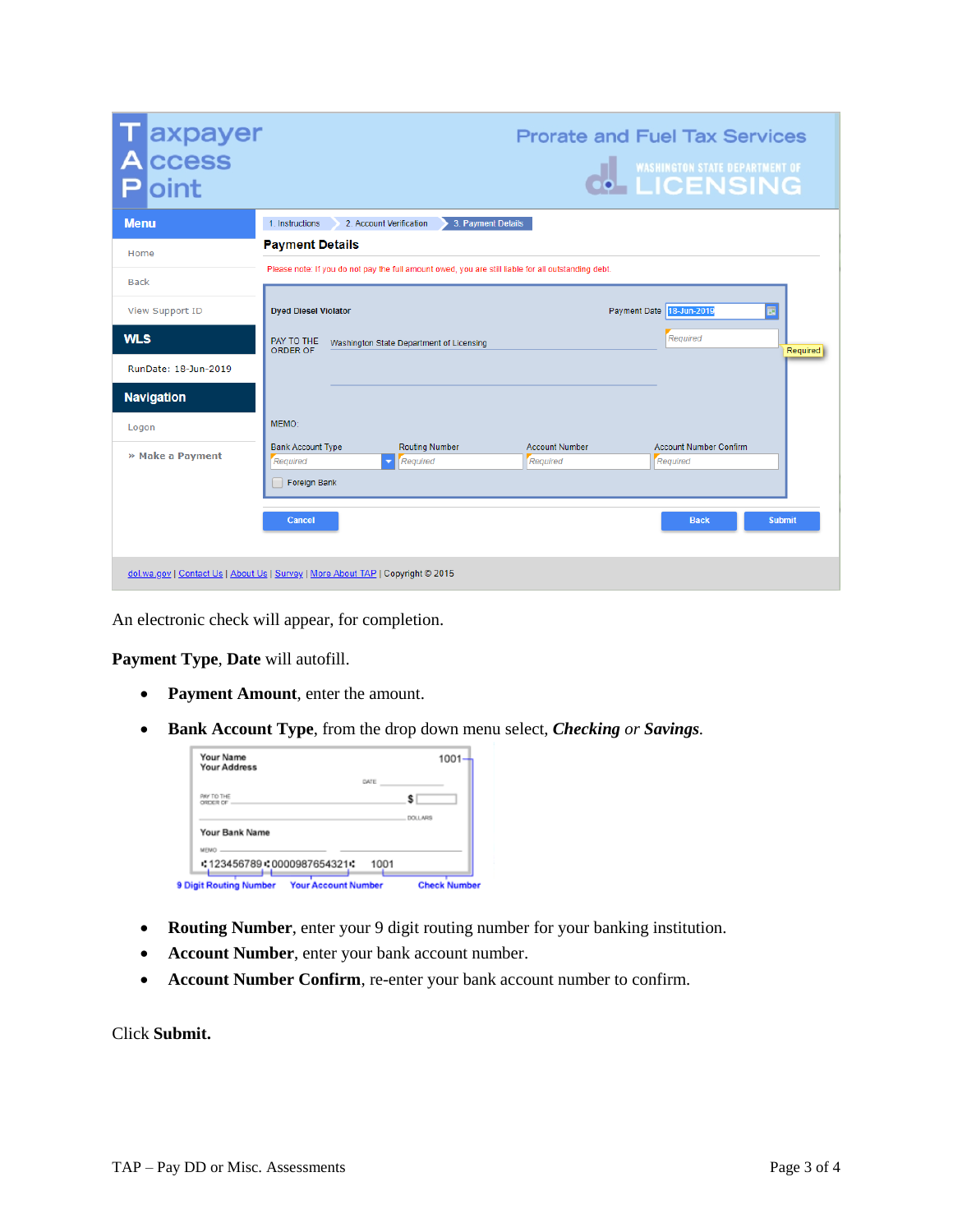| Taxpayer<br>Access<br>loint                                                     |                                                                                                     |                                          |                    |                       | <b>Prorate and Fuel Tax Services</b><br><b>THE WASHINGTON STATE DEPARTMENT OF</b> |               |
|---------------------------------------------------------------------------------|-----------------------------------------------------------------------------------------------------|------------------------------------------|--------------------|-----------------------|-----------------------------------------------------------------------------------|---------------|
| <b>Menu</b>                                                                     | 1. Instructions                                                                                     | 2. Account Verification                  | 3. Payment Details |                       |                                                                                   |               |
| Home                                                                            | <b>Payment Details</b>                                                                              |                                          |                    |                       |                                                                                   |               |
| <b>Back</b>                                                                     | Please note: If you do not pay the full amount owed, you are still liable for all outstanding debt. |                                          |                    |                       |                                                                                   |               |
| <b>View Support ID</b>                                                          | <b>Dyed Diesel Violator</b>                                                                         |                                          |                    |                       | Payment Date 18-Jun-2019                                                          | 园             |
| <b>WLS</b>                                                                      | PAY TO THE<br>ORDER OF                                                                              | Washington State Department of Licensing |                    |                       | Reauired                                                                          | Required      |
| RunDate: 18-Jun-2019                                                            |                                                                                                     |                                          |                    |                       |                                                                                   |               |
| <b>Navigation</b>                                                               |                                                                                                     |                                          |                    |                       |                                                                                   |               |
| Logon                                                                           | MEMO:                                                                                               |                                          |                    |                       |                                                                                   |               |
| » Make a Payment                                                                | <b>Bank Account Type</b>                                                                            | <b>Routing Number</b>                    |                    | <b>Account Number</b> | <b>Account Number Confirm</b>                                                     |               |
|                                                                                 | Reauired                                                                                            | Reauired<br>٠                            |                    | Reauired              | Reauired                                                                          |               |
|                                                                                 | Foreign Bank                                                                                        |                                          |                    |                       |                                                                                   |               |
|                                                                                 | Cancel                                                                                              |                                          |                    |                       | <b>Back</b>                                                                       | <b>Submit</b> |
| dol.wa.gov   Contact Us   About Us   Survey   More About TAP   Copyright @ 2015 |                                                                                                     |                                          |                    |                       |                                                                                   |               |

An electronic check will appear, for completion.

**Payment Type**, **Date** will autofill.

- **Payment Amount**, enter the amount.
- **Bank Account Type**, from the drop down menu select, *Checking or Savings.*

| Your Name<br><b>Your Address</b> |      | 1001           |
|----------------------------------|------|----------------|
|                                  | DATE |                |
| PAY TO THE<br>ORDER OF           |      |                |
|                                  |      | <b>DOLLARS</b> |
| Your Bank Name                   |      |                |
| MEMO                             |      |                |
| : 123456789 : 0000987654321 :    | 1001 |                |

- **Routing Number**, enter your 9 digit routing number for your banking institution.
- **Account Number**, enter your bank account number.
- **Account Number Confirm**, re-enter your bank account number to confirm.

Click **Submit.**